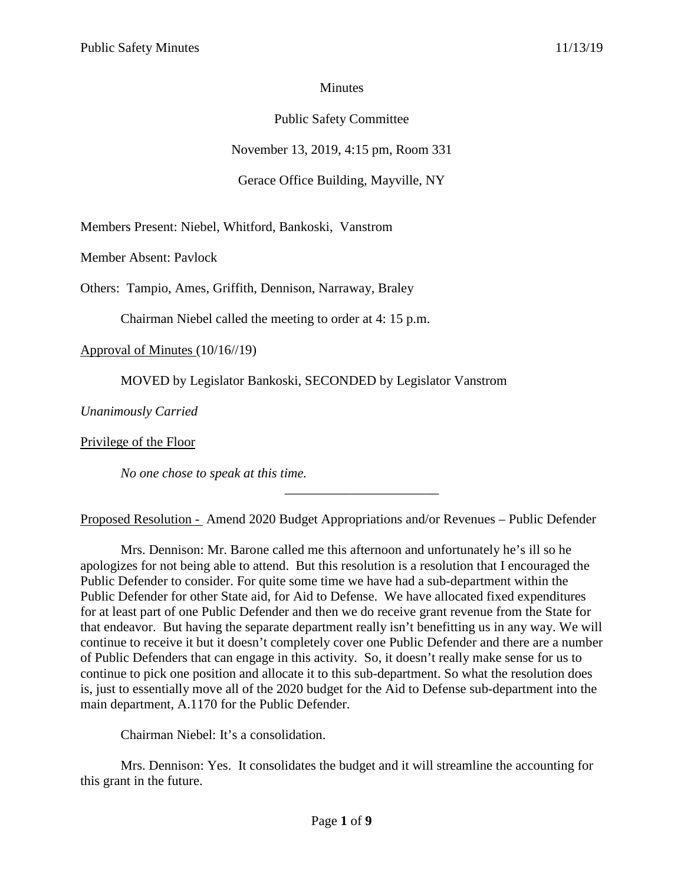## **Minutes**

# Public Safety Committee

November 13, 2019, 4:15 pm, Room 331

Gerace Office Building, Mayville, NY

Members Present: Niebel, Whitford, Bankoski, Vanstrom

Member Absent: Pavlock

Others: Tampio, Ames, Griffith, Dennison, Narraway, Braley

Chairman Niebel called the meeting to order at 4: 15 p.m.

Approval of Minutes (10/16//19)

MOVED by Legislator Bankoski, SECONDED by Legislator Vanstrom

*Unanimously Carried*

Privilege of the Floor

*No one chose to speak at this time.*

Proposed Resolution - Amend 2020 Budget Appropriations and/or Revenues – Public Defender

\_\_\_\_\_\_\_\_\_\_\_\_\_\_\_\_\_\_\_\_\_\_\_

Mrs. Dennison: Mr. Barone called me this afternoon and unfortunately he's ill so he apologizes for not being able to attend. But this resolution is a resolution that I encouraged the Public Defender to consider. For quite some time we have had a sub-department within the Public Defender for other State aid, for Aid to Defense. We have allocated fixed expenditures for at least part of one Public Defender and then we do receive grant revenue from the State for that endeavor. But having the separate department really isn't benefitting us in any way. We will continue to receive it but it doesn't completely cover one Public Defender and there are a number of Public Defenders that can engage in this activity. So, it doesn't really make sense for us to continue to pick one position and allocate it to this sub-department. So what the resolution does is, just to essentially move all of the 2020 budget for the Aid to Defense sub-department into the main department, A.1170 for the Public Defender.

Chairman Niebel: It's a consolidation.

Mrs. Dennison: Yes. It consolidates the budget and it will streamline the accounting for this grant in the future.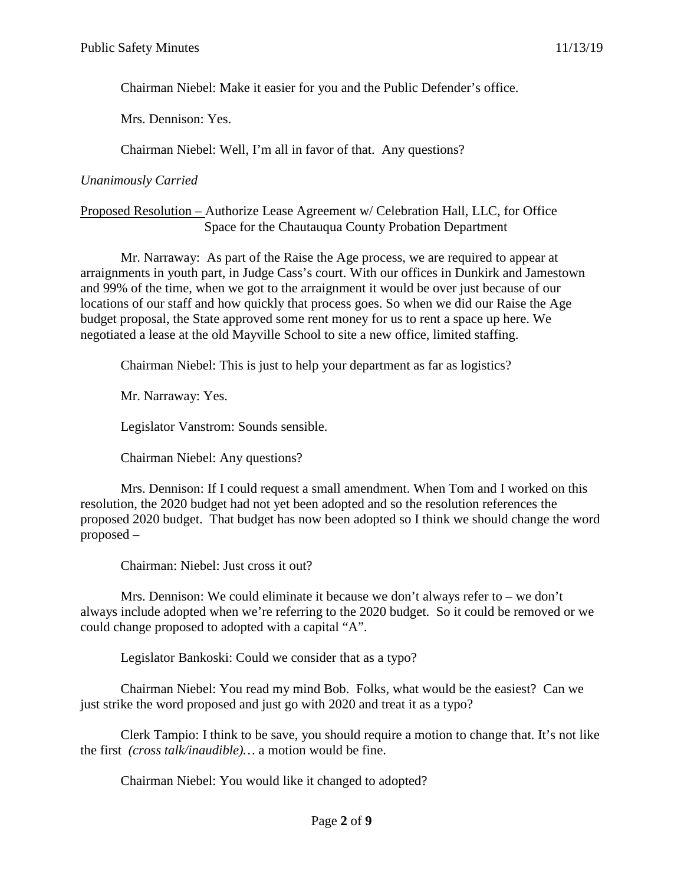Chairman Niebel: Make it easier for you and the Public Defender's office.

Mrs. Dennison: Yes.

Chairman Niebel: Well, I'm all in favor of that. Any questions?

#### *Unanimously Carried*

#### Proposed Resolution – Authorize Lease Agreement w/ Celebration Hall, LLC, for Office Space for the Chautauqua County Probation Department

Mr. Narraway: As part of the Raise the Age process, we are required to appear at arraignments in youth part, in Judge Cass's court. With our offices in Dunkirk and Jamestown and 99% of the time, when we got to the arraignment it would be over just because of our locations of our staff and how quickly that process goes. So when we did our Raise the Age budget proposal, the State approved some rent money for us to rent a space up here. We negotiated a lease at the old Mayville School to site a new office, limited staffing.

Chairman Niebel: This is just to help your department as far as logistics?

Mr. Narraway: Yes.

Legislator Vanstrom: Sounds sensible.

Chairman Niebel: Any questions?

Mrs. Dennison: If I could request a small amendment. When Tom and I worked on this resolution, the 2020 budget had not yet been adopted and so the resolution references the proposed 2020 budget. That budget has now been adopted so I think we should change the word proposed –

Chairman: Niebel: Just cross it out?

Mrs. Dennison: We could eliminate it because we don't always refer to – we don't always include adopted when we're referring to the 2020 budget. So it could be removed or we could change proposed to adopted with a capital "A".

Legislator Bankoski: Could we consider that as a typo?

Chairman Niebel: You read my mind Bob. Folks, what would be the easiest? Can we just strike the word proposed and just go with 2020 and treat it as a typo?

Clerk Tampio: I think to be save, you should require a motion to change that. It's not like the first *(cross talk/inaudible)…* a motion would be fine.

Chairman Niebel: You would like it changed to adopted?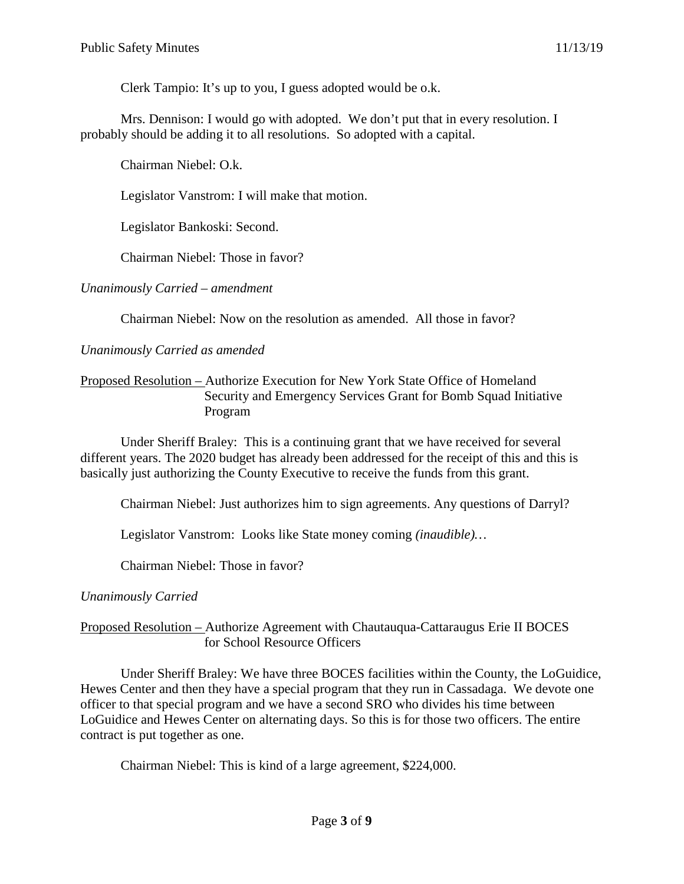Clerk Tampio: It's up to you, I guess adopted would be o.k.

Mrs. Dennison: I would go with adopted. We don't put that in every resolution. I probably should be adding it to all resolutions. So adopted with a capital.

Chairman Niebel: O.k.

Legislator Vanstrom: I will make that motion.

Legislator Bankoski: Second.

Chairman Niebel: Those in favor?

*Unanimously Carried – amendment*

Chairman Niebel: Now on the resolution as amended. All those in favor?

*Unanimously Carried as amended*

#### Proposed Resolution – Authorize Execution for New York State Office of Homeland Security and Emergency Services Grant for Bomb Squad Initiative Program

Under Sheriff Braley: This is a continuing grant that we have received for several different years. The 2020 budget has already been addressed for the receipt of this and this is basically just authorizing the County Executive to receive the funds from this grant.

Chairman Niebel: Just authorizes him to sign agreements. Any questions of Darryl?

Legislator Vanstrom: Looks like State money coming *(inaudible)…*

Chairman Niebel: Those in favor?

*Unanimously Carried*

### Proposed Resolution – Authorize Agreement with Chautauqua-Cattaraugus Erie II BOCES for School Resource Officers

Under Sheriff Braley: We have three BOCES facilities within the County, the LoGuidice, Hewes Center and then they have a special program that they run in Cassadaga. We devote one officer to that special program and we have a second SRO who divides his time between LoGuidice and Hewes Center on alternating days. So this is for those two officers. The entire contract is put together as one.

Chairman Niebel: This is kind of a large agreement, \$224,000.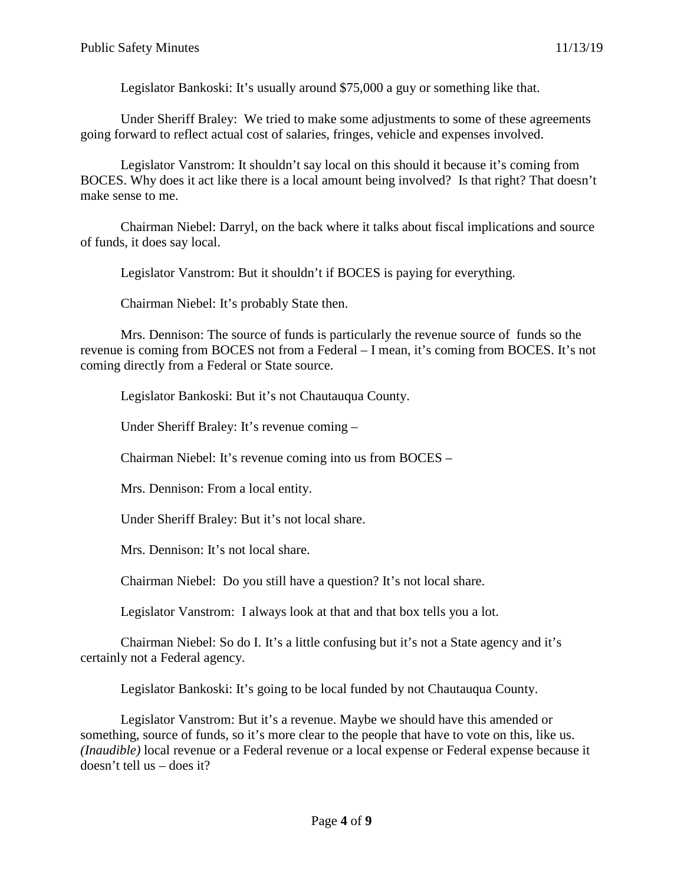Legislator Bankoski: It's usually around \$75,000 a guy or something like that.

Under Sheriff Braley: We tried to make some adjustments to some of these agreements going forward to reflect actual cost of salaries, fringes, vehicle and expenses involved.

Legislator Vanstrom: It shouldn't say local on this should it because it's coming from BOCES. Why does it act like there is a local amount being involved? Is that right? That doesn't make sense to me.

Chairman Niebel: Darryl, on the back where it talks about fiscal implications and source of funds, it does say local.

Legislator Vanstrom: But it shouldn't if BOCES is paying for everything.

Chairman Niebel: It's probably State then.

Mrs. Dennison: The source of funds is particularly the revenue source of funds so the revenue is coming from BOCES not from a Federal – I mean, it's coming from BOCES. It's not coming directly from a Federal or State source.

Legislator Bankoski: But it's not Chautauqua County.

Under Sheriff Braley: It's revenue coming –

Chairman Niebel: It's revenue coming into us from BOCES –

Mrs. Dennison: From a local entity.

Under Sheriff Braley: But it's not local share.

Mrs. Dennison: It's not local share.

Chairman Niebel: Do you still have a question? It's not local share.

Legislator Vanstrom: I always look at that and that box tells you a lot.

Chairman Niebel: So do I. It's a little confusing but it's not a State agency and it's certainly not a Federal agency.

Legislator Bankoski: It's going to be local funded by not Chautauqua County.

Legislator Vanstrom: But it's a revenue. Maybe we should have this amended or something, source of funds, so it's more clear to the people that have to vote on this, like us. *(Inaudible)* local revenue or a Federal revenue or a local expense or Federal expense because it doesn't tell us – does it?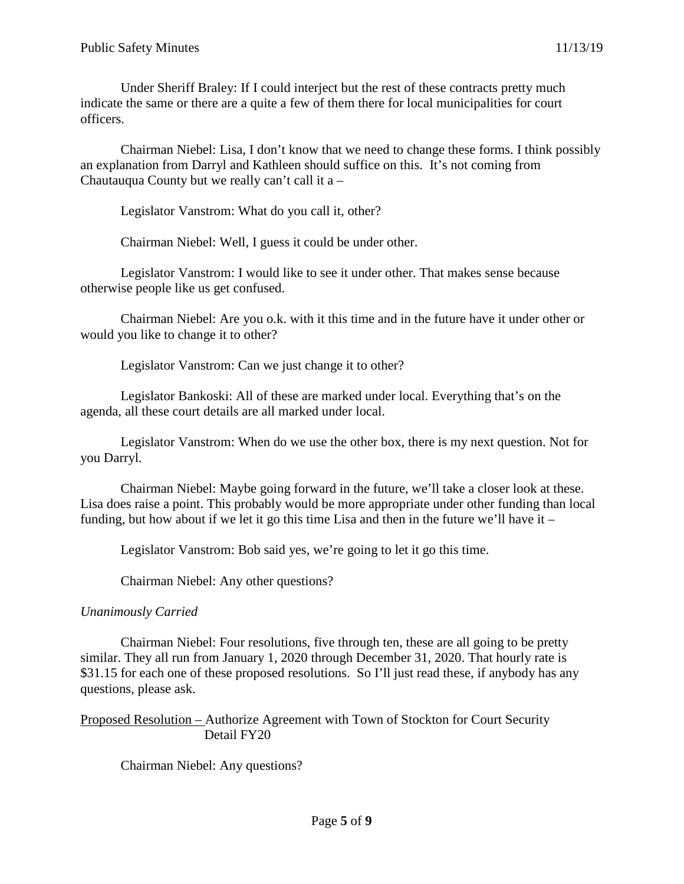Under Sheriff Braley: If I could interject but the rest of these contracts pretty much indicate the same or there are a quite a few of them there for local municipalities for court officers.

Chairman Niebel: Lisa, I don't know that we need to change these forms. I think possibly an explanation from Darryl and Kathleen should suffice on this. It's not coming from Chautauqua County but we really can't call it a –

Legislator Vanstrom: What do you call it, other?

Chairman Niebel: Well, I guess it could be under other.

Legislator Vanstrom: I would like to see it under other. That makes sense because otherwise people like us get confused.

Chairman Niebel: Are you o.k. with it this time and in the future have it under other or would you like to change it to other?

Legislator Vanstrom: Can we just change it to other?

Legislator Bankoski: All of these are marked under local. Everything that's on the agenda, all these court details are all marked under local.

Legislator Vanstrom: When do we use the other box, there is my next question. Not for you Darryl.

Chairman Niebel: Maybe going forward in the future, we'll take a closer look at these. Lisa does raise a point. This probably would be more appropriate under other funding than local funding, but how about if we let it go this time Lisa and then in the future we'll have it –

Legislator Vanstrom: Bob said yes, we're going to let it go this time.

Chairman Niebel: Any other questions?

### *Unanimously Carried*

Chairman Niebel: Four resolutions, five through ten, these are all going to be pretty similar. They all run from January 1, 2020 through December 31, 2020. That hourly rate is \$31.15 for each one of these proposed resolutions. So I'll just read these, if anybody has any questions, please ask.

Proposed Resolution – Authorize Agreement with Town of Stockton for Court Security Detail FY20

Chairman Niebel: Any questions?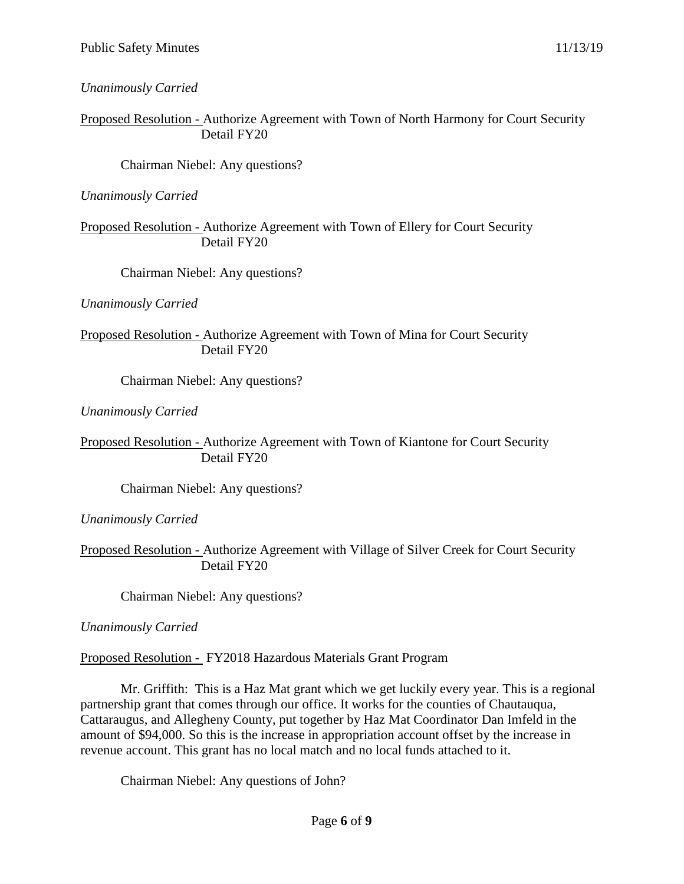*Unanimously Carried*

Proposed Resolution - Authorize Agreement with Town of North Harmony for Court Security Detail FY20

Chairman Niebel: Any questions?

*Unanimously Carried*

Proposed Resolution - Authorize Agreement with Town of Ellery for Court Security Detail FY20

Chairman Niebel: Any questions?

*Unanimously Carried*

Proposed Resolution - Authorize Agreement with Town of Mina for Court Security Detail FY20

Chairman Niebel: Any questions?

*Unanimously Carried*

Proposed Resolution - Authorize Agreement with Town of Kiantone for Court Security Detail FY20

Chairman Niebel: Any questions?

*Unanimously Carried*

Proposed Resolution - Authorize Agreement with Village of Silver Creek for Court Security Detail FY20

Chairman Niebel: Any questions?

*Unanimously Carried*

Proposed Resolution - FY2018 Hazardous Materials Grant Program

Mr. Griffith: This is a Haz Mat grant which we get luckily every year. This is a regional partnership grant that comes through our office. It works for the counties of Chautauqua, Cattaraugus, and Allegheny County, put together by Haz Mat Coordinator Dan Imfeld in the amount of \$94,000. So this is the increase in appropriation account offset by the increase in revenue account. This grant has no local match and no local funds attached to it.

Chairman Niebel: Any questions of John?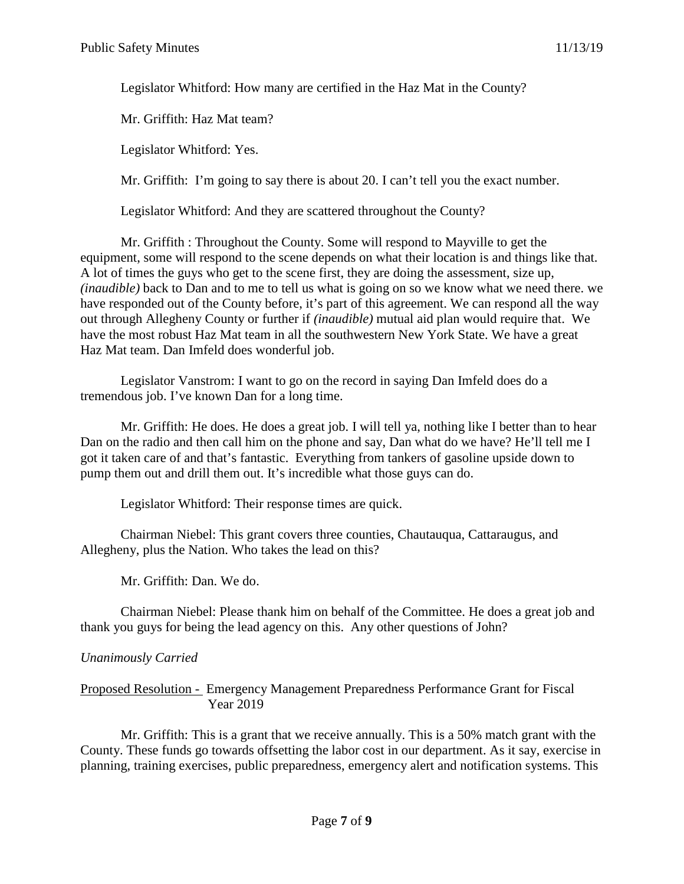Legislator Whitford: How many are certified in the Haz Mat in the County?

Mr. Griffith: Haz Mat team?

Legislator Whitford: Yes.

Mr. Griffith: I'm going to say there is about 20. I can't tell you the exact number.

Legislator Whitford: And they are scattered throughout the County?

Mr. Griffith : Throughout the County. Some will respond to Mayville to get the equipment, some will respond to the scene depends on what their location is and things like that. A lot of times the guys who get to the scene first, they are doing the assessment, size up, *(inaudible)* back to Dan and to me to tell us what is going on so we know what we need there. we have responded out of the County before, it's part of this agreement. We can respond all the way out through Allegheny County or further if *(inaudible)* mutual aid plan would require that. We have the most robust Haz Mat team in all the southwestern New York State. We have a great Haz Mat team. Dan Imfeld does wonderful job.

Legislator Vanstrom: I want to go on the record in saying Dan Imfeld does do a tremendous job. I've known Dan for a long time.

Mr. Griffith: He does. He does a great job. I will tell ya, nothing like I better than to hear Dan on the radio and then call him on the phone and say, Dan what do we have? He'll tell me I got it taken care of and that's fantastic. Everything from tankers of gasoline upside down to pump them out and drill them out. It's incredible what those guys can do.

Legislator Whitford: Their response times are quick.

Chairman Niebel: This grant covers three counties, Chautauqua, Cattaraugus, and Allegheny, plus the Nation. Who takes the lead on this?

Mr. Griffith: Dan. We do.

Chairman Niebel: Please thank him on behalf of the Committee. He does a great job and thank you guys for being the lead agency on this. Any other questions of John?

# *Unanimously Carried*

Proposed Resolution - Emergency Management Preparedness Performance Grant for Fiscal Year 2019

Mr. Griffith: This is a grant that we receive annually. This is a 50% match grant with the County. These funds go towards offsetting the labor cost in our department. As it say, exercise in planning, training exercises, public preparedness, emergency alert and notification systems. This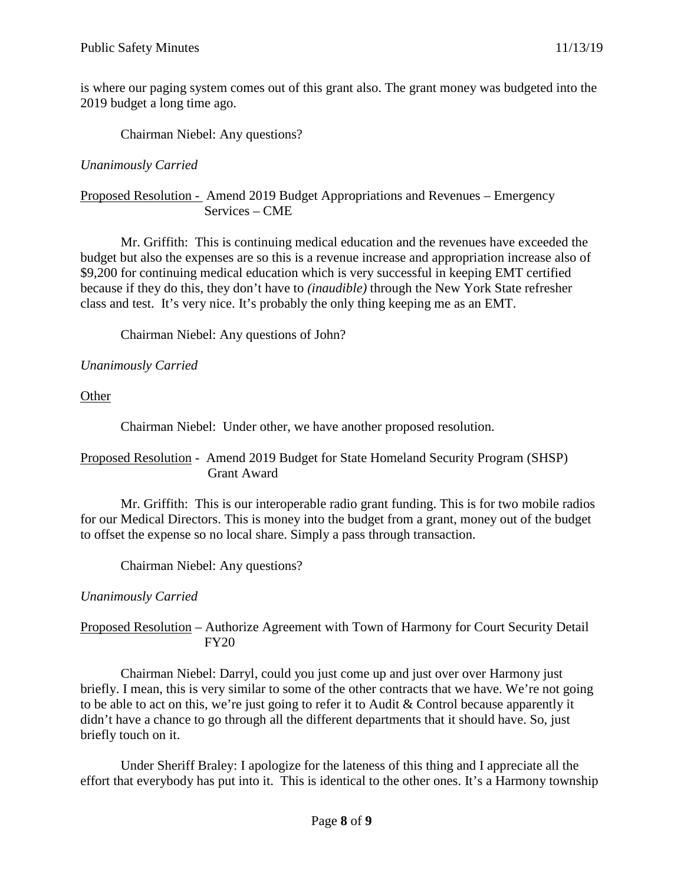is where our paging system comes out of this grant also. The grant money was budgeted into the 2019 budget a long time ago.

Chairman Niebel: Any questions?

### *Unanimously Carried*

Proposed Resolution - Amend 2019 Budget Appropriations and Revenues – Emergency Services – CME

Mr. Griffith: This is continuing medical education and the revenues have exceeded the budget but also the expenses are so this is a revenue increase and appropriation increase also of \$9,200 for continuing medical education which is very successful in keeping EMT certified because if they do this, they don't have to *(inaudible)* through the New York State refresher class and test. It's very nice. It's probably the only thing keeping me as an EMT.

Chairman Niebel: Any questions of John?

## *Unanimously Carried*

**Other** 

Chairman Niebel: Under other, we have another proposed resolution.

## Proposed Resolution - Amend 2019 Budget for State Homeland Security Program (SHSP) Grant Award

Mr. Griffith: This is our interoperable radio grant funding. This is for two mobile radios for our Medical Directors. This is money into the budget from a grant, money out of the budget to offset the expense so no local share. Simply a pass through transaction.

Chairman Niebel: Any questions?

# *Unanimously Carried*

## Proposed Resolution – Authorize Agreement with Town of Harmony for Court Security Detail FY20

Chairman Niebel: Darryl, could you just come up and just over over Harmony just briefly. I mean, this is very similar to some of the other contracts that we have. We're not going to be able to act on this, we're just going to refer it to Audit & Control because apparently it didn't have a chance to go through all the different departments that it should have. So, just briefly touch on it.

Under Sheriff Braley: I apologize for the lateness of this thing and I appreciate all the effort that everybody has put into it. This is identical to the other ones. It's a Harmony township